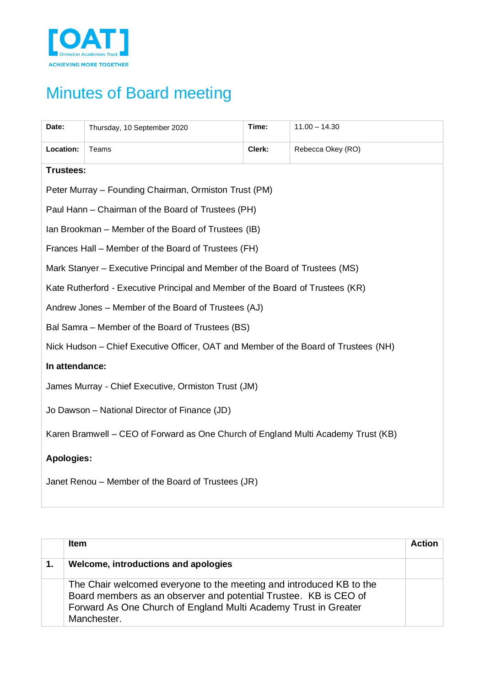

## Minutes of Board meeting

| Date:                                                                             | Thursday, 10 September 2020                                                         | Time:  | $11.00 - 14.30$   |
|-----------------------------------------------------------------------------------|-------------------------------------------------------------------------------------|--------|-------------------|
| Location:                                                                         | Teams                                                                               | Clerk: | Rebecca Okey (RO) |
| <b>Trustees:</b>                                                                  |                                                                                     |        |                   |
|                                                                                   | Peter Murray - Founding Chairman, Ormiston Trust (PM)                               |        |                   |
|                                                                                   | Paul Hann - Chairman of the Board of Trustees (PH)                                  |        |                   |
| Ian Brookman – Member of the Board of Trustees (IB)                               |                                                                                     |        |                   |
| Frances Hall – Member of the Board of Trustees (FH)                               |                                                                                     |        |                   |
| Mark Stanyer – Executive Principal and Member of the Board of Trustees (MS)       |                                                                                     |        |                   |
| Kate Rutherford - Executive Principal and Member of the Board of Trustees (KR)    |                                                                                     |        |                   |
| Andrew Jones – Member of the Board of Trustees (AJ)                               |                                                                                     |        |                   |
| Bal Samra – Member of the Board of Trustees (BS)                                  |                                                                                     |        |                   |
|                                                                                   | Nick Hudson – Chief Executive Officer, OAT and Member of the Board of Trustees (NH) |        |                   |
| In attendance:                                                                    |                                                                                     |        |                   |
|                                                                                   | James Murray - Chief Executive, Ormiston Trust (JM)                                 |        |                   |
| Jo Dawson - National Director of Finance (JD)                                     |                                                                                     |        |                   |
| Karen Bramwell - CEO of Forward as One Church of England Multi Academy Trust (KB) |                                                                                     |        |                   |
| <b>Apologies:</b>                                                                 |                                                                                     |        |                   |
| Janet Renou - Member of the Board of Trustees (JR)                                |                                                                                     |        |                   |

|    | <b>Item</b>                                                                                                                                                                                                               | Action |
|----|---------------------------------------------------------------------------------------------------------------------------------------------------------------------------------------------------------------------------|--------|
| 1. | Welcome, introductions and apologies                                                                                                                                                                                      |        |
|    | The Chair welcomed everyone to the meeting and introduced KB to the<br>Board members as an observer and potential Trustee. KB is CEO of<br>Forward As One Church of England Multi Academy Trust in Greater<br>Manchester. |        |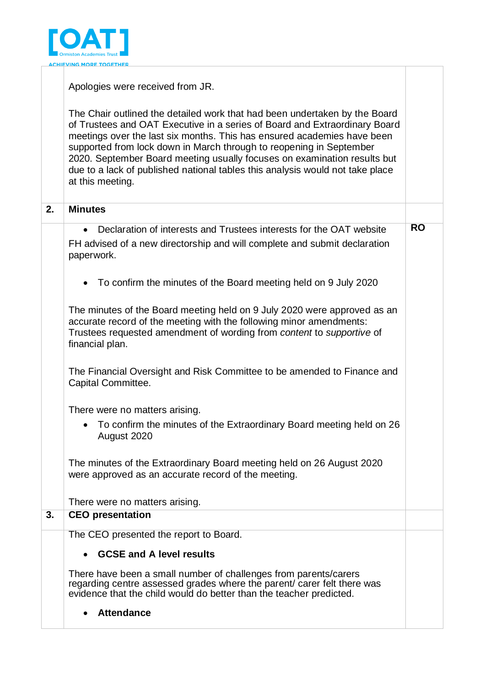

|    | Apologies were received from JR.                                                                                                                                                                                                                                                                                                                                                                                                                                                            |           |
|----|---------------------------------------------------------------------------------------------------------------------------------------------------------------------------------------------------------------------------------------------------------------------------------------------------------------------------------------------------------------------------------------------------------------------------------------------------------------------------------------------|-----------|
|    | The Chair outlined the detailed work that had been undertaken by the Board<br>of Trustees and OAT Executive in a series of Board and Extraordinary Board<br>meetings over the last six months. This has ensured academies have been<br>supported from lock down in March through to reopening in September<br>2020. September Board meeting usually focuses on examination results but<br>due to a lack of published national tables this analysis would not take place<br>at this meeting. |           |
| 2. | <b>Minutes</b>                                                                                                                                                                                                                                                                                                                                                                                                                                                                              |           |
|    | Declaration of interests and Trustees interests for the OAT website<br>FH advised of a new directorship and will complete and submit declaration<br>paperwork.<br>To confirm the minutes of the Board meeting held on 9 July 2020<br>$\bullet$                                                                                                                                                                                                                                              | <b>RO</b> |
|    | The minutes of the Board meeting held on 9 July 2020 were approved as an<br>accurate record of the meeting with the following minor amendments:<br>Trustees requested amendment of wording from content to supportive of<br>financial plan.                                                                                                                                                                                                                                                 |           |
|    | The Financial Oversight and Risk Committee to be amended to Finance and<br>Capital Committee.                                                                                                                                                                                                                                                                                                                                                                                               |           |
|    | There were no matters arising.<br>• To confirm the minutes of the Extraordinary Board meeting held on 26<br>August 2020                                                                                                                                                                                                                                                                                                                                                                     |           |
|    | The minutes of the Extraordinary Board meeting held on 26 August 2020<br>were approved as an accurate record of the meeting.                                                                                                                                                                                                                                                                                                                                                                |           |
| 3. | There were no matters arising.<br><b>CEO</b> presentation                                                                                                                                                                                                                                                                                                                                                                                                                                   |           |
|    | The CEO presented the report to Board.                                                                                                                                                                                                                                                                                                                                                                                                                                                      |           |
|    |                                                                                                                                                                                                                                                                                                                                                                                                                                                                                             |           |
|    | <b>GCSE and A level results</b><br>$\bullet$<br>There have been a small number of challenges from parents/carers<br>regarding centre assessed grades where the parent/ carer felt there was<br>evidence that the child would do better than the teacher predicted.<br><b>Attendance</b>                                                                                                                                                                                                     |           |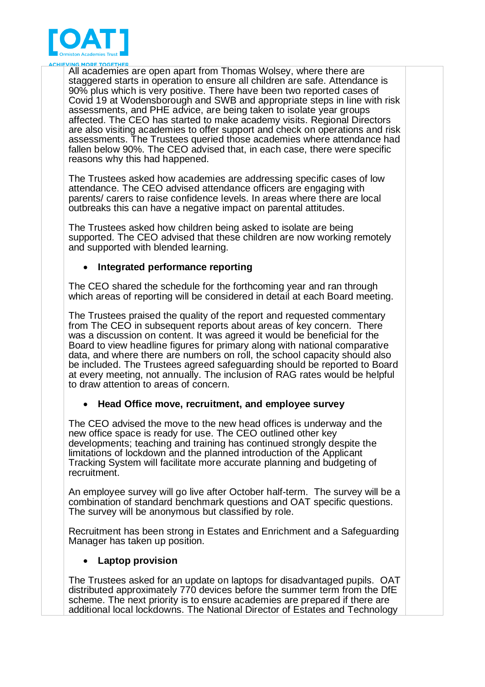

All academies are open apart from Thomas Wolsey, where there are staggered starts in operation to ensure all children are safe. Attendance is 90% plus which is very positive. There have been two reported cases of Covid 19 at Wodensborough and SWB and appropriate steps in line with risk assessments, and PHE advice, are being taken to isolate year groups affected. The CEO has started to make academy visits. Regional Directors are also visiting academies to offer support and check on operations and risk assessments. The Trustees queried those academies where attendance had fallen below 90%. The CEO advised that, in each case, there were specific reasons why this had happened.

The Trustees asked how academies are addressing specific cases of low attendance. The CEO advised attendance officers are engaging with parents/ carers to raise confidence levels. In areas where there are local outbreaks this can have a negative impact on parental attitudes.

The Trustees asked how children being asked to isolate are being supported. The CEO advised that these children are now working remotely and supported with blended learning.

## • **Integrated performance reporting**

The CEO shared the schedule for the forthcoming year and ran through which areas of reporting will be considered in detail at each Board meeting.

The Trustees praised the quality of the report and requested commentary from The CEO in subsequent reports about areas of key concern. There was a discussion on content. It was agreed it would be beneficial for the Board to view headline figures for primary along with national comparative data, and where there are numbers on roll, the school capacity should also be included. The Trustees agreed safeguarding should be reported to Board at every meeting, not annually. The inclusion of RAG rates would be helpful to draw attention to areas of concern.

## • **Head Office move, recruitment, and employee survey**

The CEO advised the move to the new head offices is underway and the new office space is ready for use. The CEO outlined other key developments; teaching and training has continued strongly despite the limitations of lockdown and the planned introduction of the Applicant Tracking System will facilitate more accurate planning and budgeting of recruitment.

An employee survey will go live after October half-term. The survey will be a combination of standard benchmark questions and OAT specific questions. The survey will be anonymous but classified by role.

Recruitment has been strong in Estates and Enrichment and a Safeguarding Manager has taken up position.

## • **Laptop provision**

The Trustees asked for an update on laptops for disadvantaged pupils. OAT distributed approximately 770 devices before the summer term from the DfE scheme. The next priority is to ensure academies are prepared if there are additional local lockdowns. The National Director of Estates and Technology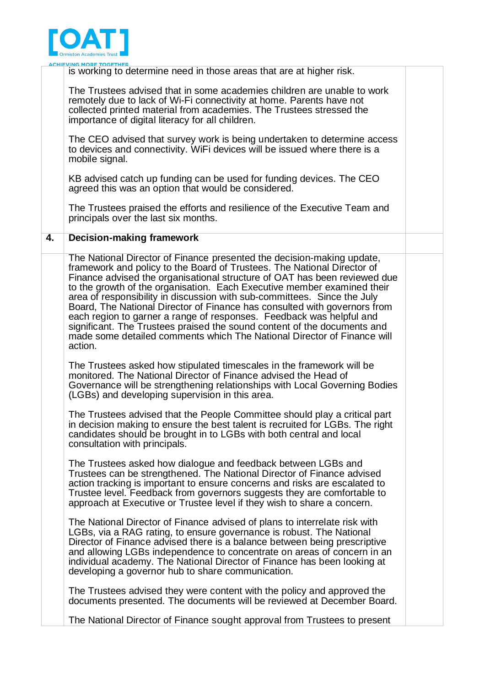

|    | <b>ACHIEVING MORE TOGETHER</b><br>is working to determine need in those areas that are at higher risk.                                                                                                                                                                                                                                                                                                                                                                                                                                                                                                                                                                                                       |  |
|----|--------------------------------------------------------------------------------------------------------------------------------------------------------------------------------------------------------------------------------------------------------------------------------------------------------------------------------------------------------------------------------------------------------------------------------------------------------------------------------------------------------------------------------------------------------------------------------------------------------------------------------------------------------------------------------------------------------------|--|
|    | The Trustees advised that in some academies children are unable to work<br>remotely due to lack of Wi-Fi connectivity at home. Parents have not<br>collected printed material from academies. The Trustees stressed the<br>importance of digital literacy for all children.                                                                                                                                                                                                                                                                                                                                                                                                                                  |  |
|    | The CEO advised that survey work is being undertaken to determine access<br>to devices and connectivity. WiFi devices will be issued where there is a<br>mobile signal.                                                                                                                                                                                                                                                                                                                                                                                                                                                                                                                                      |  |
|    | KB advised catch up funding can be used for funding devices. The CEO<br>agreed this was an option that would be considered.                                                                                                                                                                                                                                                                                                                                                                                                                                                                                                                                                                                  |  |
|    | The Trustees praised the efforts and resilience of the Executive Team and<br>principals over the last six months.                                                                                                                                                                                                                                                                                                                                                                                                                                                                                                                                                                                            |  |
| 4. | <b>Decision-making framework</b>                                                                                                                                                                                                                                                                                                                                                                                                                                                                                                                                                                                                                                                                             |  |
|    | The National Director of Finance presented the decision-making update,<br>framework and policy to the Board of Trustees. The National Director of<br>Finance advised the organisational structure of OAT has been reviewed due<br>to the growth of the organisation. Each Executive member examined their<br>area of responsibility in discussion with sub-committees. Since the July<br>Board, The National Director of Finance has consulted with governors from<br>each region to garner a range of responses. Feedback was helpful and<br>significant. The Trustees praised the sound content of the documents and<br>made some detailed comments which The National Director of Finance will<br>action. |  |
|    | The Trustees asked how stipulated timescales in the framework will be<br>monitored. The National Director of Finance advised the Head of<br>Governance will be strengthening relationships with Local Governing Bodies<br>(LGBs) and developing supervision in this area.                                                                                                                                                                                                                                                                                                                                                                                                                                    |  |
|    | The Trustees advised that the People Committee should play a critical part<br>in decision making to ensure the best talent is recruited for LGBs. The right<br>candidates should be brought in to LGBs with both central and local<br>consultation with principals.                                                                                                                                                                                                                                                                                                                                                                                                                                          |  |
|    | The Trustees asked how dialogue and feedback between LGBs and<br>Trustees can be strengthened. The National Director of Finance advised<br>action tracking is important to ensure concerns and risks are escalated to<br>Trustee level. Feedback from governors suggests they are comfortable to<br>approach at Executive or Trustee level if they wish to share a concern.                                                                                                                                                                                                                                                                                                                                  |  |
|    | The National Director of Finance advised of plans to interrelate risk with<br>LGBs, via a RAG rating, to ensure governance is robust. The National<br>Director of Finance advised there is a balance between being prescriptive<br>and allowing LGBs independence to concentrate on areas of concern in an<br>individual academy. The National Director of Finance has been looking at<br>developing a governor hub to share communication.                                                                                                                                                                                                                                                                  |  |
|    | The Trustees advised they were content with the policy and approved the<br>documents presented. The documents will be reviewed at December Board.                                                                                                                                                                                                                                                                                                                                                                                                                                                                                                                                                            |  |
|    | The National Director of Finance sought approval from Trustees to present                                                                                                                                                                                                                                                                                                                                                                                                                                                                                                                                                                                                                                    |  |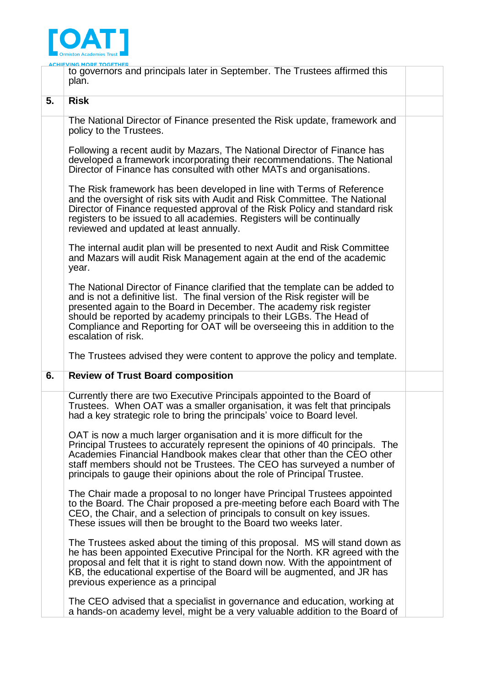

|    | <u>ACHIEVING MORE TOGETHER</u><br>to governors and principals later in September. The Trustees affirmed this<br>plan.                                                                                                                                                                                                                                                                                            |
|----|------------------------------------------------------------------------------------------------------------------------------------------------------------------------------------------------------------------------------------------------------------------------------------------------------------------------------------------------------------------------------------------------------------------|
| 5. | <b>Risk</b>                                                                                                                                                                                                                                                                                                                                                                                                      |
|    | The National Director of Finance presented the Risk update, framework and<br>policy to the Trustees.                                                                                                                                                                                                                                                                                                             |
|    | Following a recent audit by Mazars, The National Director of Finance has<br>developed a framework incorporating their recommendations. The National<br>Director of Finance has consulted with other MATs and organisations.                                                                                                                                                                                      |
|    | The Risk framework has been developed in line with Terms of Reference<br>and the oversight of risk sits with Audit and Risk Committee. The National<br>Director of Finance requested approval of the Risk Policy and standard risk<br>registers to be issued to all academies. Registers will be continually<br>reviewed and updated at least annually.                                                          |
|    | The internal audit plan will be presented to next Audit and Risk Committee<br>and Mazars will audit Risk Management again at the end of the academic<br>year.                                                                                                                                                                                                                                                    |
|    | The National Director of Finance clarified that the template can be added to<br>and is not a definitive list. The final version of the Risk register will be<br>presented again to the Board in December. The academy risk register<br>should be reported by academy principals to their LGBs. The Head of<br>Compliance and Reporting for OAT will be overseeing this in addition to the<br>escalation of risk. |
|    | The Trustees advised they were content to approve the policy and template.                                                                                                                                                                                                                                                                                                                                       |
| 6. | <b>Review of Trust Board composition</b>                                                                                                                                                                                                                                                                                                                                                                         |
|    | Currently there are two Executive Principals appointed to the Board of<br>Trustees. When OAT was a smaller organisation, it was felt that principals<br>had a key strategic role to bring the principals' voice to Board level.                                                                                                                                                                                  |
|    | OAT is now a much larger organisation and it is more difficult for the<br>Principal Trustees to accurately represent the opinions of 40 principals. The<br>Academies Financial Handbook makes clear that other than the CEO other<br>staff members should not be Trustees. The CEO has surveyed a number of<br>principals to gauge their opinions about the role of Principal Trustee.                           |
|    | The Chair made a proposal to no longer have Principal Trustees appointed<br>to the Board. The Chair proposed a pre-meeting before each Board with The<br>CEO, the Chair, and a selection of principals to consult on key issues.<br>These issues will then be brought to the Board two weeks later.                                                                                                              |
|    | The Trustees asked about the timing of this proposal. MS will stand down as<br>he has been appointed Executive Principal for the North. KR agreed with the<br>proposal and felt that it is right to stand down now. With the appointment of<br>KB, the educational expertise of the Board will be augmented, and JR has<br>previous experience as a principal                                                    |
|    | The CEO advised that a specialist in governance and education, working at<br>a hands-on academy level, might be a very valuable addition to the Board of                                                                                                                                                                                                                                                         |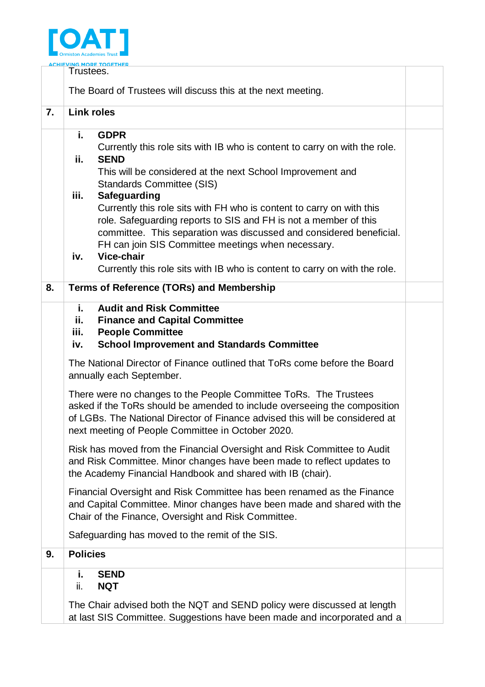

| Trustees.<br>The Board of Trustees will discuss this at the next meeting.<br><b>Link roles</b><br>i.<br><b>GDPR</b><br>Currently this role sits with IB who is content to carry on with the role.<br>ii.<br><b>SEND</b>                                                            |                                                                                                                                                                                                               |  |
|------------------------------------------------------------------------------------------------------------------------------------------------------------------------------------------------------------------------------------------------------------------------------------|---------------------------------------------------------------------------------------------------------------------------------------------------------------------------------------------------------------|--|
|                                                                                                                                                                                                                                                                                    |                                                                                                                                                                                                               |  |
|                                                                                                                                                                                                                                                                                    |                                                                                                                                                                                                               |  |
|                                                                                                                                                                                                                                                                                    |                                                                                                                                                                                                               |  |
| <b>Standards Committee (SIS)</b><br>Safeguarding<br>iii.<br>Currently this role sits with FH who is content to carry on with this<br>role. Safeguarding reports to SIS and FH is not a member of this                                                                              |                                                                                                                                                                                                               |  |
| FH can join SIS Committee meetings when necessary.<br>Vice-chair<br>iv.<br>Currently this role sits with IB who is content to carry on with the role.                                                                                                                              |                                                                                                                                                                                                               |  |
| <b>Terms of Reference (TORs) and Membership</b>                                                                                                                                                                                                                                    |                                                                                                                                                                                                               |  |
| <b>Audit and Risk Committee</b><br>i.<br>ii.<br><b>Finance and Capital Committee</b><br><b>People Committee</b><br>iii.<br><b>School Improvement and Standards Committee</b><br>iv.                                                                                                |                                                                                                                                                                                                               |  |
| The National Director of Finance outlined that ToRs come before the Board<br>annually each September.                                                                                                                                                                              |                                                                                                                                                                                                               |  |
| There were no changes to the People Committee ToRs. The Trustees<br>asked if the ToRs should be amended to include overseeing the composition<br>of LGBs. The National Director of Finance advised this will be considered at<br>next meeting of People Committee in October 2020. |                                                                                                                                                                                                               |  |
| Risk has moved from the Financial Oversight and Risk Committee to Audit<br>and Risk Committee. Minor changes have been made to reflect updates to<br>the Academy Financial Handbook and shared with IB (chair).                                                                    |                                                                                                                                                                                                               |  |
| Financial Oversight and Risk Committee has been renamed as the Finance<br>and Capital Committee. Minor changes have been made and shared with the<br>Chair of the Finance, Oversight and Risk Committee.                                                                           |                                                                                                                                                                                                               |  |
| Safeguarding has moved to the remit of the SIS.                                                                                                                                                                                                                                    |                                                                                                                                                                                                               |  |
| <b>Policies</b>                                                                                                                                                                                                                                                                    |                                                                                                                                                                                                               |  |
| i.<br><b>SEND</b><br><b>NQT</b><br>ii.<br>The Chair advised both the NQT and SEND policy were discussed at length                                                                                                                                                                  |                                                                                                                                                                                                               |  |
|                                                                                                                                                                                                                                                                                    | This will be considered at the next School Improvement and<br>committee. This separation was discussed and considered beneficial.<br>at last SIS Committee. Suggestions have been made and incorporated and a |  |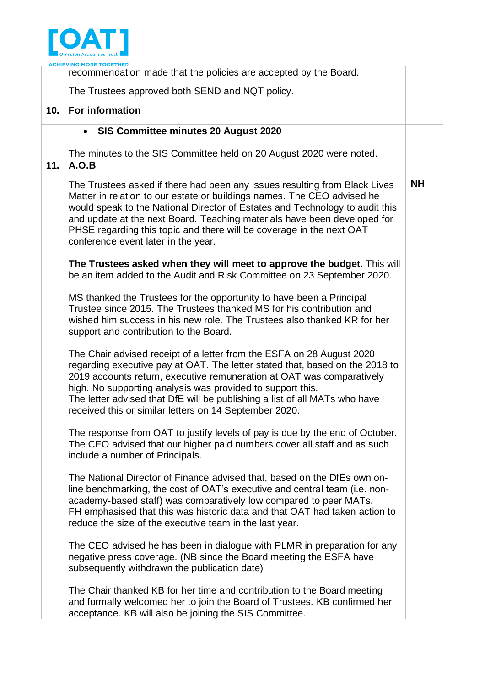

|     | recommendation made that the policies are accepted by the Board.                                                                                                                                                                                                                                                                                                                                                                     |           |
|-----|--------------------------------------------------------------------------------------------------------------------------------------------------------------------------------------------------------------------------------------------------------------------------------------------------------------------------------------------------------------------------------------------------------------------------------------|-----------|
|     | The Trustees approved both SEND and NQT policy.                                                                                                                                                                                                                                                                                                                                                                                      |           |
| 10. | <b>For information</b>                                                                                                                                                                                                                                                                                                                                                                                                               |           |
|     | SIS Committee minutes 20 August 2020<br>$\bullet$                                                                                                                                                                                                                                                                                                                                                                                    |           |
|     | The minutes to the SIS Committee held on 20 August 2020 were noted.                                                                                                                                                                                                                                                                                                                                                                  |           |
| 11. | A.O.B                                                                                                                                                                                                                                                                                                                                                                                                                                |           |
|     | The Trustees asked if there had been any issues resulting from Black Lives<br>Matter in relation to our estate or buildings names. The CEO advised he<br>would speak to the National Director of Estates and Technology to audit this<br>and update at the next Board. Teaching materials have been developed for<br>PHSE regarding this topic and there will be coverage in the next OAT<br>conference event later in the year.     | <b>NH</b> |
|     | The Trustees asked when they will meet to approve the budget. This will<br>be an item added to the Audit and Risk Committee on 23 September 2020.                                                                                                                                                                                                                                                                                    |           |
|     | MS thanked the Trustees for the opportunity to have been a Principal<br>Trustee since 2015. The Trustees thanked MS for his contribution and<br>wished him success in his new role. The Trustees also thanked KR for her<br>support and contribution to the Board.                                                                                                                                                                   |           |
|     | The Chair advised receipt of a letter from the ESFA on 28 August 2020<br>regarding executive pay at OAT. The letter stated that, based on the 2018 to<br>2019 accounts return, executive remuneration at OAT was comparatively<br>high. No supporting analysis was provided to support this.<br>The letter advised that DfE will be publishing a list of all MATs who have<br>received this or similar letters on 14 September 2020. |           |
|     | The response from OAT to justify levels of pay is due by the end of October.<br>The CEO advised that our higher paid numbers cover all staff and as such<br>include a number of Principals.                                                                                                                                                                                                                                          |           |
|     | The National Director of Finance advised that, based on the DfEs own on-<br>line benchmarking, the cost of OAT's executive and central team (i.e. non-<br>academy-based staff) was comparatively low compared to peer MATs.<br>FH emphasised that this was historic data and that OAT had taken action to<br>reduce the size of the executive team in the last year.                                                                 |           |
|     | The CEO advised he has been in dialogue with PLMR in preparation for any<br>negative press coverage. (NB since the Board meeting the ESFA have<br>subsequently withdrawn the publication date)                                                                                                                                                                                                                                       |           |
|     | The Chair thanked KB for her time and contribution to the Board meeting<br>and formally welcomed her to join the Board of Trustees. KB confirmed her<br>acceptance. KB will also be joining the SIS Committee.                                                                                                                                                                                                                       |           |